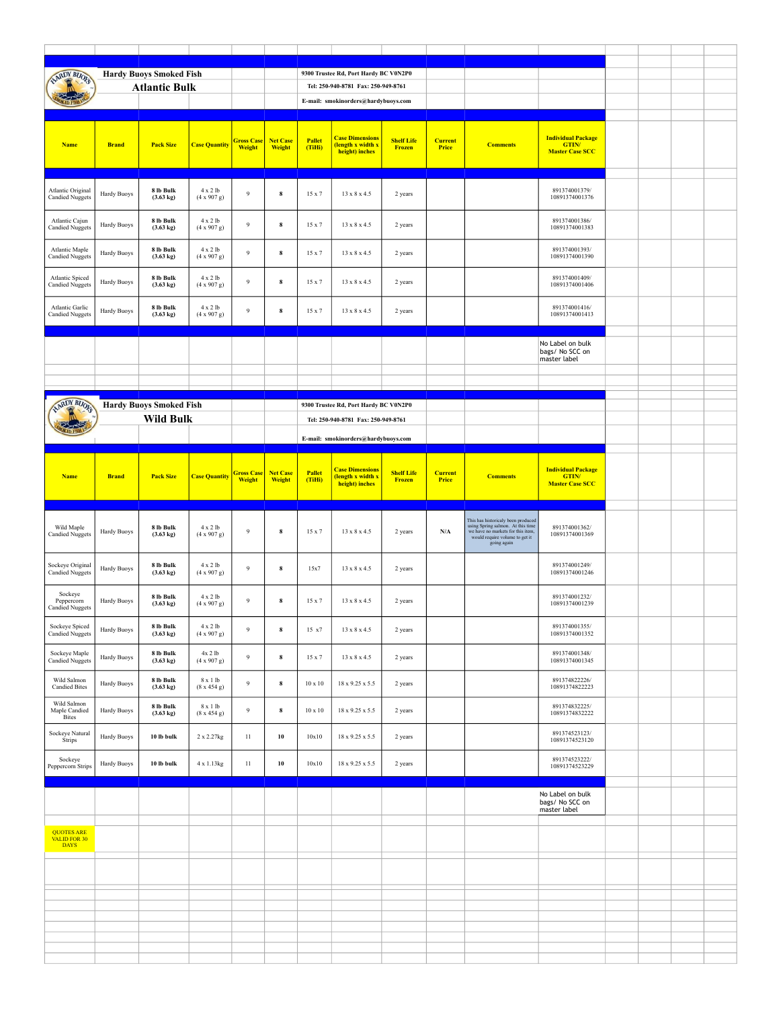| ARDY BUOLA                                       |              | <b>Hardy Buoys Smoked Fish</b>   |                                               |                                             |                |                  | 9300 Trustee Rd, Port Hardy BC V0N2P0                                      |                                    |                                |                                                                                    |                                                              |  |  |
|--------------------------------------------------|--------------|----------------------------------|-----------------------------------------------|---------------------------------------------|----------------|------------------|----------------------------------------------------------------------------|------------------------------------|--------------------------------|------------------------------------------------------------------------------------|--------------------------------------------------------------|--|--|
|                                                  |              | <b>Atlantic Bulk</b>             |                                               |                                             |                |                  | Tel: 250-940-8781 Fax: 250-949-8761<br>E-mail: smokinorders@hardybuoys.com |                                    |                                |                                                                                    |                                                              |  |  |
|                                                  |              |                                  |                                               |                                             |                |                  |                                                                            |                                    |                                |                                                                                    |                                                              |  |  |
| <b>Name</b>                                      | <b>Brand</b> | <b>Pack Size</b>                 | <b>Case Quantity</b>                          | <b>Gross Case</b> Net Case<br>Weight        | Weight         | Pallet<br>(TiHi) | <b>Case Dimensions</b><br>(length x width x<br>height) inches              | <b>Shelf Life</b><br><b>Frozen</b> | <b>Current</b><br><b>Price</b> | <b>Comments</b>                                                                    | <b>Individual Package</b><br>GTIN/<br><b>Master Case SCC</b> |  |  |
|                                                  |              |                                  |                                               |                                             |                |                  |                                                                            |                                    |                                |                                                                                    |                                                              |  |  |
| Atlantic Original<br>Candied Nuggets             | Hardy Buoys  | 8 lb Bulk<br>$(3.63 \text{ kg})$ | 4x2lb<br>$(4 \times 907 \text{ g})$           | 9                                           | 8              | 15 x 7           | 13 x 8 x 4.5                                                               | 2 years                            |                                |                                                                                    | 891374001379/<br>10891374001376                              |  |  |
| Atlantic Cajun<br>Candied Nuggets                | Hardy Buoys  | 8 lb Bulk<br>$(3.63 \text{ kg})$ | 4x2lb<br>$(4 \times 907 \text{ g})$           | 9                                           | 8              | $15 \times 7$    | 13 x 8 x 4.5                                                               | 2 years                            |                                |                                                                                    | 891374001386/<br>10891374001383                              |  |  |
| Atlantic Maple<br>Candied Nuggets                | Hardy Buoys  | 8 lb Bulk<br>$(3.63 \text{ kg})$ | 4x2lb<br>$(4 \times 907 \text{ g})$           | 9                                           | 8              | 15 x 7           | 13 x 8 x 4.5                                                               | 2 years                            |                                |                                                                                    | 891374001393/<br>10891374001390                              |  |  |
| Atlantic Spiced<br>Candied Nuggets               | Hardy Buoys  | 8 lb Bulk<br>$(3.63 \text{ kg})$ | 4x2lb<br>$(4 \times 907 \text{ g})$           | 9                                           | 8              | 15 x 7           | 13 x 8 x 4.5                                                               | 2 years                            |                                |                                                                                    | 891374001409/<br>10891374001406                              |  |  |
| Atlantic Garlic                                  |              | 8 lb Bulk                        | 4x2lb                                         |                                             |                |                  |                                                                            |                                    |                                |                                                                                    | 891374001416/                                                |  |  |
| <b>Candied Nuggets</b>                           | Hardy Buoys  | $(3.63 \text{ kg})$              | $(4 \times 907 \text{ g})$                    | 9                                           | 8              | 15 x 7           | 13 x 8 x 4.5                                                               | 2 years                            |                                |                                                                                    | 10891374001413                                               |  |  |
|                                                  |              |                                  |                                               |                                             |                |                  |                                                                            |                                    |                                |                                                                                    | No Label on bulk<br>bags/ No SCC on<br>master label          |  |  |
|                                                  |              |                                  |                                               |                                             |                |                  |                                                                            |                                    |                                |                                                                                    |                                                              |  |  |
| ARDY BUORS                                       |              | <b>Hardy Buoys Smoked Fish</b>   |                                               |                                             |                |                  | 9300 Trustee Rd, Port Hardy BC V0N2P0                                      |                                    |                                |                                                                                    |                                                              |  |  |
|                                                  |              | <b>Wild Bulk</b>                 |                                               |                                             |                |                  | Tel: 250-940-8781 Fax: 250-949-8761                                        |                                    |                                |                                                                                    |                                                              |  |  |
|                                                  |              |                                  |                                               |                                             |                |                  | E-mail: smokinorders@hardybuoys.com                                        |                                    |                                |                                                                                    |                                                              |  |  |
| <b>Name</b>                                      | <b>Brand</b> | <b>Pack Size</b>                 | <b>Case Quantity</b>                          | <b>Gross Case</b> Net Case<br><b>Weight</b> | Weight         | Pallet<br>(TiHi) | <b>Case Dimensions</b><br>(length x width x<br>height) inches              | <b>Shelf Life</b><br>Frozen        | <b>Current</b><br><b>Price</b> | <b>Comments</b>                                                                    | <b>Individual Package</b><br>GTIN/<br><b>Master Case SCC</b> |  |  |
|                                                  |              |                                  |                                               |                                             |                |                  |                                                                            |                                    |                                | This has historicaly been produced<br>using Spring salmon. At this time            |                                                              |  |  |
| Wild Maple<br>Candied Nuggets                    | Hardy Buoys  | 8 lb Bulk<br>$(3.63 \text{ kg})$ | $4 \times 2$ lb<br>$(4 \times 907 \text{ g})$ | 9                                           | 8              | 15 x 7           | 13 x 8 x 4.5                                                               | 2 years                            | N/A                            | we have no markets for this item,<br>would require volume to get it<br>going again | 891374001362/<br>10891374001369                              |  |  |
| Sockeye Original<br>Candied Nuggets              | Hardy Buoys  | 8 lb Bulk<br>$(3.63 \text{ kg})$ | 4x2lb<br>$(4 \times 907 \text{ g})$           | 9                                           | 8              | 15x7             | 13 x 8 x 4.5                                                               | 2 years                            |                                |                                                                                    | 891374001249/<br>10891374001246                              |  |  |
| Sockeye<br>Peppercorn<br>Candied Nuggets         | Hardy Buoys  | 8 lb Bulk<br>$(3.63 \text{ kg})$ | 4x2lb<br>$(4 \times 907 \text{ g})$           | 9                                           | 8 <sup>1</sup> |                  | $15 x 7$ 13 x 8 x 4.5                                                      | 2 years                            |                                |                                                                                    | 891374001232/<br>10891374001239                              |  |  |
| Sockeye Spiced<br>Candied Nuggets                | Hardy Buoys  | 8 lb Bulk<br>$(3.63 \text{ kg})$ | 4x2lb<br>$(4 \times 907 \text{ g})$           | 9                                           | 8              | 15 x7            | 13 x 8 x 4.5                                                               | 2 years                            |                                |                                                                                    | 891374001355/<br>10891374001352                              |  |  |
| Sockeye Maple<br>Candied Nuggets                 | Hardy Buoys  | 8 lb Bulk<br>$(3.63 \text{ kg})$ | $4x$ 2 lb<br>$(4 \times 907 \text{ g})$       | 9                                           | 8              | 15 x 7           | 13 x 8 x 4.5                                                               | 2 years                            |                                |                                                                                    | 891374001348/<br>10891374001345                              |  |  |
| Wild Salmon<br><b>Candied Bites</b>              | Hardy Buoys  | 8 lb Bulk<br>$(3.63 \text{ kg})$ | 8 x 1 lb<br>$(8 \times 454 \text{ g})$        | 9                                           | 8              | $10 \times 10$   | 18 x 9.25 x 5.5                                                            | 2 years                            |                                |                                                                                    | 891374822226/<br>10891374822223                              |  |  |
| Wild Salmon<br>Maple Candied<br>Bites            | Hardy Buoys  | 8 lb Bulk<br>$(3.63 \text{ kg})$ | 8 x 1 lb<br>$(8 \times 454 \text{ g})$        | 9                                           | 8              | $10 \times 10$   | 18 x 9.25 x 5.5                                                            | 2 years                            |                                |                                                                                    | 891374832225/<br>10891374832222                              |  |  |
| Sockeye Natural<br>Strips                        | Hardy Buoys  | 10 lb bulk                       | 2 x 2.27kg                                    | 11                                          | 10             | 10x10            | 18 x 9.25 x 5.5                                                            | 2 years                            |                                |                                                                                    | 891374523123/<br>10891374523120                              |  |  |
| Sockeye<br>Peppercorn Strips                     | Hardy Buoys  | 10 lb bulk                       | 4 x 1.13kg                                    | 11                                          | 10             | 10x10            | 18 x 9.25 x 5.5                                                            | 2 years                            |                                |                                                                                    | 891374523222/<br>10891374523229                              |  |  |
|                                                  |              |                                  |                                               |                                             |                |                  |                                                                            |                                    |                                |                                                                                    | No Label on bulk                                             |  |  |
|                                                  |              |                                  |                                               |                                             |                |                  |                                                                            |                                    |                                |                                                                                    | bags/ No SCC on<br>master label                              |  |  |
| <b>QUOTES ARE</b><br>VALID FOR 30<br><b>DAYS</b> |              |                                  |                                               |                                             |                |                  |                                                                            |                                    |                                |                                                                                    |                                                              |  |  |
|                                                  |              |                                  |                                               |                                             |                |                  |                                                                            |                                    |                                |                                                                                    |                                                              |  |  |
|                                                  |              |                                  |                                               |                                             |                |                  |                                                                            |                                    |                                |                                                                                    |                                                              |  |  |
|                                                  |              |                                  |                                               |                                             |                |                  |                                                                            |                                    |                                |                                                                                    |                                                              |  |  |
|                                                  |              |                                  |                                               |                                             |                |                  |                                                                            |                                    |                                |                                                                                    |                                                              |  |  |
|                                                  |              |                                  |                                               |                                             |                |                  |                                                                            |                                    |                                |                                                                                    |                                                              |  |  |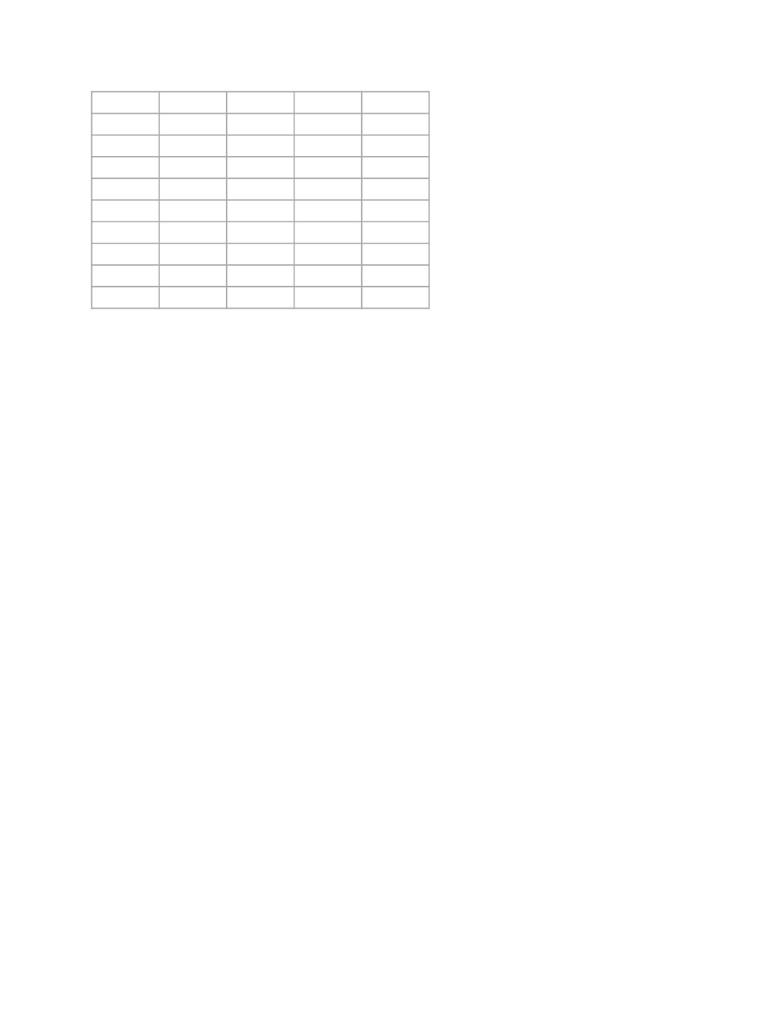|                                                             | the control of the control of the control of the control of                               | the control of the control of the control of the control of the control of                                      | the control of the control of the control of the control of |  |
|-------------------------------------------------------------|-------------------------------------------------------------------------------------------|-----------------------------------------------------------------------------------------------------------------|-------------------------------------------------------------|--|
|                                                             |                                                                                           |                                                                                                                 |                                                             |  |
| the control of the control of the control of the control of | the control of the control of the control of the control of the control of the control of | the control of the control of the control of the control of the control of                                      | the control of the control of the control of                |  |
|                                                             |                                                                                           | <u> 1989 - Andrea Stadt Britain, amerikansk fotballstva i sve</u>                                               |                                                             |  |
|                                                             |                                                                                           | the contract of the contract of the contract of the contract of the contract of the contract of the contract of |                                                             |  |
|                                                             |                                                                                           | the control of the control of the control of the control of the control of                                      |                                                             |  |
|                                                             |                                                                                           |                                                                                                                 |                                                             |  |
|                                                             | the control of the control of the control of the control of                               | the control of the control of the control of the control of                                                     | the control of the control of the control of                |  |